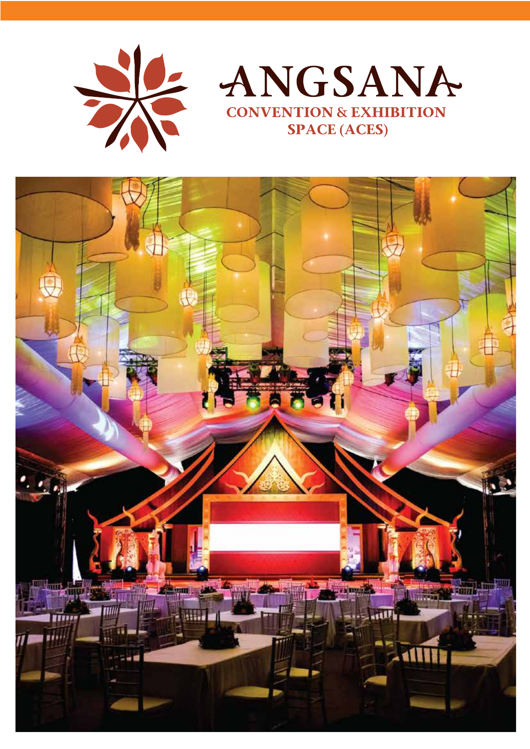



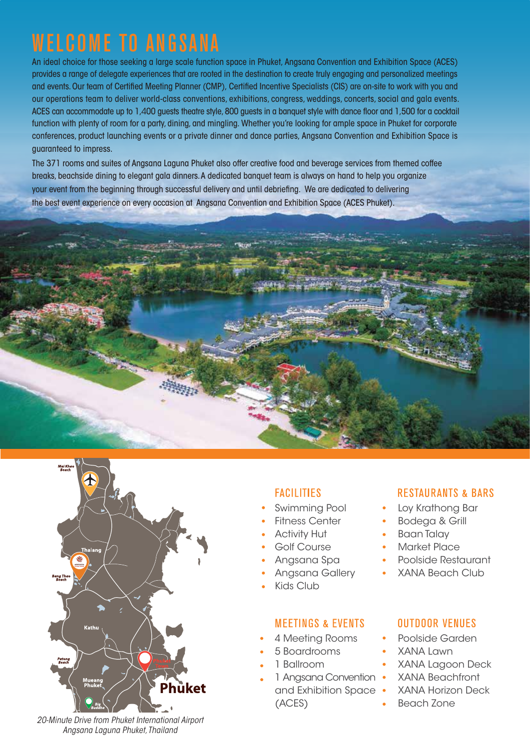# WELCOME TO ANGSANA

An ideal choice for those seeking a large scale function space in Phuket, Angsana Convention and Exhibition Space (ACES) provides a range of delegate experiences that are rooted in the destination to create truly engaging and personalized meetings and events. Our team of Certified Meeting Planner (CMP), Certified Incentive Specialists (CIS) are on-site to work with you and our operations team to deliver world-class conventions, exhibitions, congress, weddings, concerts, social and gala events. ACES can accommodate up to 1,400 guests theatre style, 800 guests in a banquet style with dance floor and 1,500 for a cocktail function with plenty of room for a party, dining, and mingling. Whether you're looking for ample space in Phuket for corporate conferences, product launching events or a private dinner and dance parties, Angsana Convention and Exhibition Space is guaranteed to impress.

The 371 rooms and suites of Angsana Laguna Phuket also offer creative food and beverage services from themed coffee breaks, beachside dining to elegant gala dinners.A dedicated banquet team is always on hand to help you organize your event from the beginning through successful delivery and until debriefing. We are dedicated to delivering the best event experience on every occasion at Angsana Convention and Exhibition Space (ACES Phuket).





### **FACILITIES**

- Swimming Pool
- Fitness Center
- Activity Hut
- Golf Course
- Angsana Spa
- Angsana Gallery
- Kids Club

#### **MEETINGS & EVENTS**

- 4 Meeting Rooms
- 5 Boardrooms
- 1 Ballroom
- 1 Angsana Convention
	- and Exhibition Space (ACES)

#### **RESTAURANTS & BARS**

- Loy Krathong Bar
- Bodega & Grill
- Baan Talay
- Market Place
- Poolside Restaurant
- XANA Beach Club

#### **OUTDOOR VENUES**

- Poolside Garden
- XANA Lawn
- XANA Lagoon Deck
- XANA Beachfront
- XANA Horizon Deck
- Beach Zone

*20-Minute Drive from Phuket International Airport Angsana Laguna Phuket, Thailand*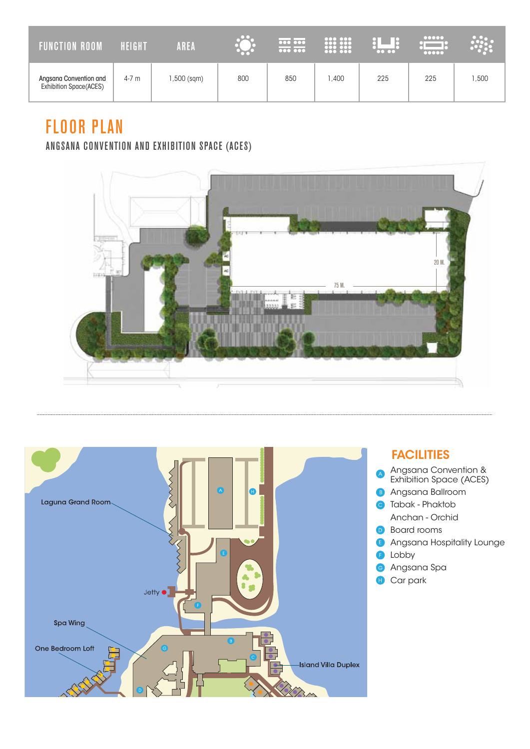| <b>FUNCTION ROOM</b>                             | HEIGHT | AREA       |     | $\overline{\cdots}$<br>$\sqrt{00000000}$ | <b>888 888</b> | $\bullet\bullet\bullet\bullet$ | 00000<br>00000 |      |
|--------------------------------------------------|--------|------------|-----|------------------------------------------|----------------|--------------------------------|----------------|------|
| Angsana Convention and<br>Exhibition Space(ACES) | 4-7 m  | ,500 (sqm) | 800 | 850                                      | ,400           | 225                            | 225            | ,500 |

# FLOOR PLAN

## ANGSANA CONVENTION AND EXHIBITION SPACE (ACES)